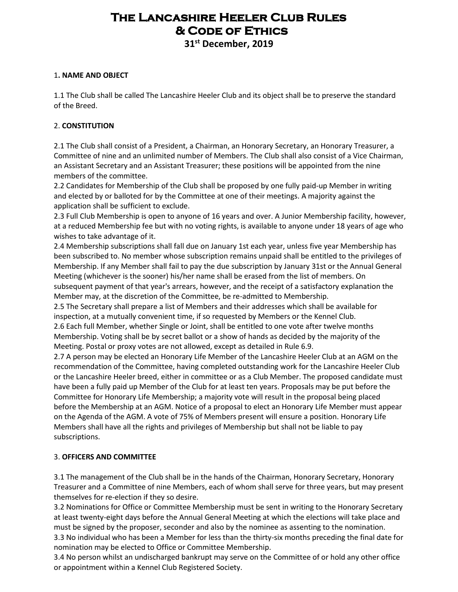# **The Lancashire Heeler Club Rules & Code of Ethics**

**31st December, 2019**

#### 1**. NAME AND OBJECT**

1.1 The Club shall be called The Lancashire Heeler Club and its object shall be to preserve the standard of the Breed.

#### 2. **CONSTITUTION**

2.1 The Club shall consist of a President, a Chairman, an Honorary Secretary, an Honorary Treasurer, a Committee of nine and an unlimited number of Members. The Club shall also consist of a Vice Chairman, an Assistant Secretary and an Assistant Treasurer; these positions will be appointed from the nine members of the committee.

2.2 Candidates for Membership of the Club shall be proposed by one fully paid-up Member in writing and elected by or balloted for by the Committee at one of their meetings. A majority against the application shall be sufficient to exclude.

2.3 Full Club Membership is open to anyone of 16 years and over. A Junior Membership facility, however, at a reduced Membership fee but with no voting rights, is available to anyone under 18 years of age who wishes to take advantage of it.

2.4 Membership subscriptions shall fall due on January 1st each year, unless five year Membership has been subscribed to. No member whose subscription remains unpaid shall be entitled to the privileges of Membership. If any Member shall fail to pay the due subscription by January 31st or the Annual General Meeting (whichever is the sooner) his/her name shall be erased from the list of members. On subsequent payment of that year's arrears, however, and the receipt of a satisfactory explanation the Member may, at the discretion of the Committee, be re-admitted to Membership.

2.5 The Secretary shall prepare a list of Members and their addresses which shall be available for inspection, at a mutually convenient time, if so requested by Members or the Kennel Club.

2.6 Each full Member, whether Single or Joint, shall be entitled to one vote after twelve months Membership. Voting shall be by secret ballot or a show of hands as decided by the majority of the Meeting. Postal or proxy votes are not allowed, except as detailed in Rule 6.9.

2.7 A person may be elected an Honorary Life Member of the Lancashire Heeler Club at an AGM on the recommendation of the Committee, having completed outstanding work for the Lancashire Heeler Club or the Lancashire Heeler breed, either in committee or as a Club Member. The proposed candidate must have been a fully paid up Member of the Club for at least ten years. Proposals may be put before the Committee for Honorary Life Membership; a majority vote will result in the proposal being placed before the Membership at an AGM. Notice of a proposal to elect an Honorary Life Member must appear on the Agenda of the AGM. A vote of 75% of Members present will ensure a position. Honorary Life Members shall have all the rights and privileges of Membership but shall not be liable to pay subscriptions.

#### 3. **OFFICERS AND COMMITTEE**

3.1 The management of the Club shall be in the hands of the Chairman, Honorary Secretary, Honorary Treasurer and a Committee of nine Members, each of whom shall serve for three years, but may present themselves for re-election if they so desire.

3.2 Nominations for Office or Committee Membership must be sent in writing to the Honorary Secretary at least twenty-eight days before the Annual General Meeting at which the elections will take place and must be signed by the proposer, seconder and also by the nominee as assenting to the nomination. 3.3 No individual who has been a Member for less than the thirty-six months preceding the final date for

nomination may be elected to Office or Committee Membership.

3.4 No person whilst an undischarged bankrupt may serve on the Committee of or hold any other office or appointment within a Kennel Club Registered Society.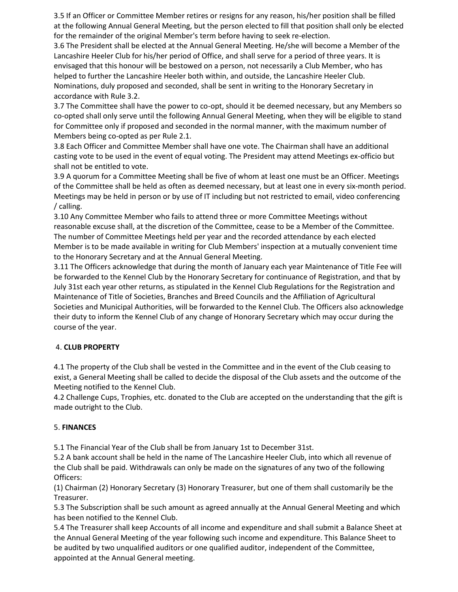3.5 If an Officer or Committee Member retires or resigns for any reason, his/her position shall be filled at the following Annual General Meeting, but the person elected to fill that position shall only be elected for the remainder of the original Member's term before having to seek re-election.

3.6 The President shall be elected at the Annual General Meeting. He/she will become a Member of the Lancashire Heeler Club for his/her period of Office, and shall serve for a period of three years. It is envisaged that this honour will be bestowed on a person, not necessarily a Club Member, who has helped to further the Lancashire Heeler both within, and outside, the Lancashire Heeler Club. Nominations, duly proposed and seconded, shall be sent in writing to the Honorary Secretary in accordance with Rule 3.2.

3.7 The Committee shall have the power to co-opt, should it be deemed necessary, but any Members so co-opted shall only serve until the following Annual General Meeting, when they will be eligible to stand for Committee only if proposed and seconded in the normal manner, with the maximum number of Members being co-opted as per Rule 2.1.

3.8 Each Officer and Committee Member shall have one vote. The Chairman shall have an additional casting vote to be used in the event of equal voting. The President may attend Meetings ex-officio but shall not be entitled to vote.

3.9 A quorum for a Committee Meeting shall be five of whom at least one must be an Officer. Meetings of the Committee shall be held as often as deemed necessary, but at least one in every six-month period. Meetings may be held in person or by use of IT including but not restricted to email, video conferencing / calling.

3.10 Any Committee Member who fails to attend three or more Committee Meetings without reasonable excuse shall, at the discretion of the Committee, cease to be a Member of the Committee. The number of Committee Meetings held per year and the recorded attendance by each elected Member is to be made available in writing for Club Members' inspection at a mutually convenient time to the Honorary Secretary and at the Annual General Meeting.

3.11 The Officers acknowledge that during the month of January each year Maintenance of Title Fee will be forwarded to the Kennel Club by the Honorary Secretary for continuance of Registration, and that by July 31st each year other returns, as stipulated in the Kennel Club Regulations for the Registration and Maintenance of Title of Societies, Branches and Breed Councils and the Affiliation of Agricultural Societies and Municipal Authorities, will be forwarded to the Kennel Club. The Officers also acknowledge their duty to inform the Kennel Club of any change of Honorary Secretary which may occur during the course of the year.

## 4. **CLUB PROPERTY**

4.1 The property of the Club shall be vested in the Committee and in the event of the Club ceasing to exist, a General Meeting shall be called to decide the disposal of the Club assets and the outcome of the Meeting notified to the Kennel Club.

4.2 Challenge Cups, Trophies, etc. donated to the Club are accepted on the understanding that the gift is made outright to the Club.

## 5. **FINANCES**

5.1 The Financial Year of the Club shall be from January 1st to December 31st.

5.2 A bank account shall be held in the name of The Lancashire Heeler Club, into which all revenue of the Club shall be paid. Withdrawals can only be made on the signatures of any two of the following Officers:

(1) Chairman (2) Honorary Secretary (3) Honorary Treasurer, but one of them shall customarily be the Treasurer.

5.3 The Subscription shall be such amount as agreed annually at the Annual General Meeting and which has been notified to the Kennel Club.

5.4 The Treasurer shall keep Accounts of all income and expenditure and shall submit a Balance Sheet at the Annual General Meeting of the year following such income and expenditure. This Balance Sheet to be audited by two unqualified auditors or one qualified auditor, independent of the Committee, appointed at the Annual General meeting.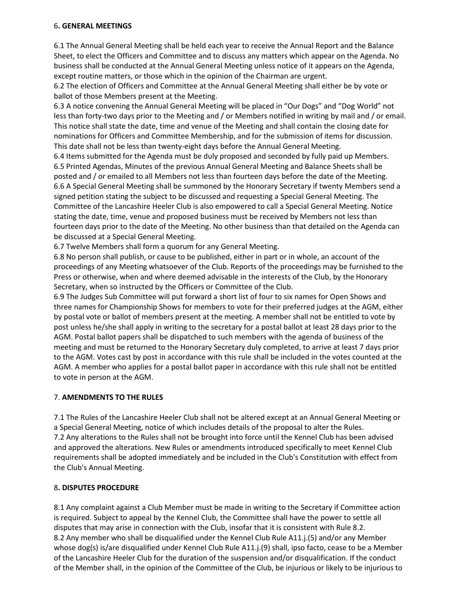#### 6**. GENERAL MEETINGS**

6.1 The Annual General Meeting shall be held each year to receive the Annual Report and the Balance Sheet, to elect the Officers and Committee and to discuss any matters which appear on the Agenda. No business shall be conducted at the Annual General Meeting unless notice of it appears on the Agenda, except routine matters, or those which in the opinion of the Chairman are urgent.

6.2 The election of Officers and Committee at the Annual General Meeting shall either be by vote or ballot of those Members present at the Meeting.

6.3 A notice convening the Annual General Meeting will be placed in "Our Dogs" and "Dog World" not less than forty-two days prior to the Meeting and / or Members notified in writing by mail and / or email. This notice shall state the date, time and venue of the Meeting and shall contain the closing date for nominations for Officers and Committee Membership, and for the submission of items for discussion. This date shall not be less than twenty-eight days before the Annual General Meeting.

6.4 Items submitted for the Agenda must be duly proposed and seconded by fully paid up Members. 6.5 Printed Agendas, Minutes of the previous Annual General Meeting and Balance Sheets shall be posted and / or emailed to all Members not less than fourteen days before the date of the Meeting. 6.6 A Special General Meeting shall be summoned by the Honorary Secretary if twenty Members send a signed petition stating the subject to be discussed and requesting a Special General Meeting. The Committee of the Lancashire Heeler Club is also empowered to call a Special General Meeting. Notice stating the date, time, venue and proposed business must be received by Members not less than fourteen days prior to the date of the Meeting. No other business than that detailed on the Agenda can be discussed at a Special General Meeting.

6.7 Twelve Members shall form a quorum for any General Meeting.

6.8 No person shall publish, or cause to be published, either in part or in whole, an account of the proceedings of any Meeting whatsoever of the Club. Reports of the proceedings may be furnished to the Press or otherwise, when and where deemed advisable in the interests of the Club, by the Honorary Secretary, when so instructed by the Officers or Committee of the Club.

6.9 The Judges Sub Committee will put forward a short list of four to six names for Open Shows and three names for Championship Shows for members to vote for their preferred judges at the AGM, either by postal vote or ballot of members present at the meeting. A member shall not be entitled to vote by post unless he/she shall apply in writing to the secretary for a postal ballot at least 28 days prior to the AGM. Postal ballot papers shall be dispatched to such members with the agenda of business of the meeting and must be returned to the Honorary Secretary duly completed, to arrive at least 7 days prior to the AGM. Votes cast by post in accordance with this rule shall be included in the votes counted at the AGM. A member who applies for a postal ballot paper in accordance with this rule shall not be entitled to vote in person at the AGM.

## 7. **AMENDMENTS TO THE RULES**

7.1 The Rules of the Lancashire Heeler Club shall not be altered except at an Annual General Meeting or a Special General Meeting, notice of which includes details of the proposal to alter the Rules. 7.2 Any alterations to the Rules shall not be brought into force until the Kennel Club has been advised and approved the alterations. New Rules or amendments introduced specifically to meet Kennel Club requirements shall be adopted immediately and be included in the Club's Constitution with effect from the Club's Annual Meeting.

#### 8**. DISPUTES PROCEDURE**

8.1 Any complaint against a Club Member must be made in writing to the Secretary if Committee action is required. Subject to appeal by the Kennel Club, the Committee shall have the power to settle all disputes that may arise in connection with the Club, insofar that it is consistent with Rule 8.2. 8.2 Any member who shall be disqualified under the Kennel Club Rule A11.j.(5) and/or any Member whose dog(s) is/are disqualified under Kennel Club Rule A11.j.(9) shall, ipso facto, cease to be a Member of the Lancashire Heeler Club for the duration of the suspension and/or disqualification. If the conduct of the Member shall, in the opinion of the Committee of the Club, be injurious or likely to be injurious to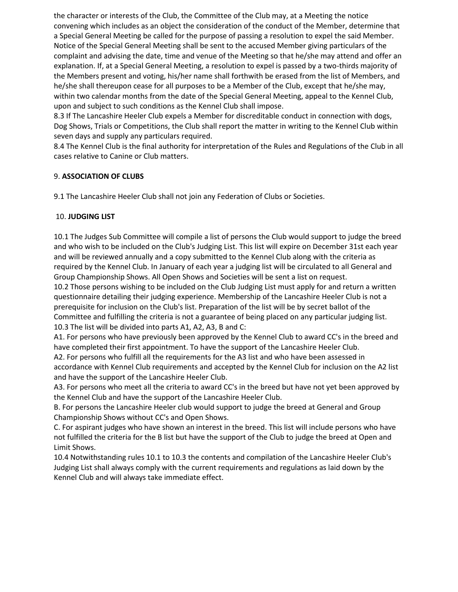the character or interests of the Club, the Committee of the Club may, at a Meeting the notice convening which includes as an object the consideration of the conduct of the Member, determine that a Special General Meeting be called for the purpose of passing a resolution to expel the said Member. Notice of the Special General Meeting shall be sent to the accused Member giving particulars of the complaint and advising the date, time and venue of the Meeting so that he/she may attend and offer an explanation. If, at a Special General Meeting, a resolution to expel is passed by a two-thirds majority of the Members present and voting, his/her name shall forthwith be erased from the list of Members, and he/she shall thereupon cease for all purposes to be a Member of the Club, except that he/she may, within two calendar months from the date of the Special General Meeting, appeal to the Kennel Club, upon and subject to such conditions as the Kennel Club shall impose.

8.3 If The Lancashire Heeler Club expels a Member for discreditable conduct in connection with dogs, Dog Shows, Trials or Competitions, the Club shall report the matter in writing to the Kennel Club within seven days and supply any particulars required.

8.4 The Kennel Club is the final authority for interpretation of the Rules and Regulations of the Club in all cases relative to Canine or Club matters.

## 9. **ASSOCIATION OF CLUBS**

9.1 The Lancashire Heeler Club shall not join any Federation of Clubs or Societies.

#### 10. **JUDGING LIST**

10.1 The Judges Sub Committee will compile a list of persons the Club would support to judge the breed and who wish to be included on the Club's Judging List. This list will expire on December 31st each year and will be reviewed annually and a copy submitted to the Kennel Club along with the criteria as required by the Kennel Club. In January of each year a judging list will be circulated to all General and Group Championship Shows. All Open Shows and Societies will be sent a list on request.

10.2 Those persons wishing to be included on the Club Judging List must apply for and return a written questionnaire detailing their judging experience. Membership of the Lancashire Heeler Club is not a prerequisite for inclusion on the Club's list. Preparation of the list will be by secret ballot of the Committee and fulfilling the criteria is not a guarantee of being placed on any particular judging list. 10.3 The list will be divided into parts A1, A2, A3, B and C:

A1. For persons who have previously been approved by the Kennel Club to award CC's in the breed and have completed their first appointment. To have the support of the Lancashire Heeler Club.

A2. For persons who fulfill all the requirements for the A3 list and who have been assessed in accordance with Kennel Club requirements and accepted by the Kennel Club for inclusion on the A2 list and have the support of the Lancashire Heeler Club.

A3. For persons who meet all the criteria to award CC's in the breed but have not yet been approved by the Kennel Club and have the support of the Lancashire Heeler Club.

B. For persons the Lancashire Heeler club would support to judge the breed at General and Group Championship Shows without CC's and Open Shows.

C. For aspirant judges who have shown an interest in the breed. This list will include persons who have not fulfilled the criteria for the B list but have the support of the Club to judge the breed at Open and Limit Shows.

10.4 Notwithstanding rules 10.1 to 10.3 the contents and compilation of the Lancashire Heeler Club's Judging List shall always comply with the current requirements and regulations as laid down by the Kennel Club and will always take immediate effect.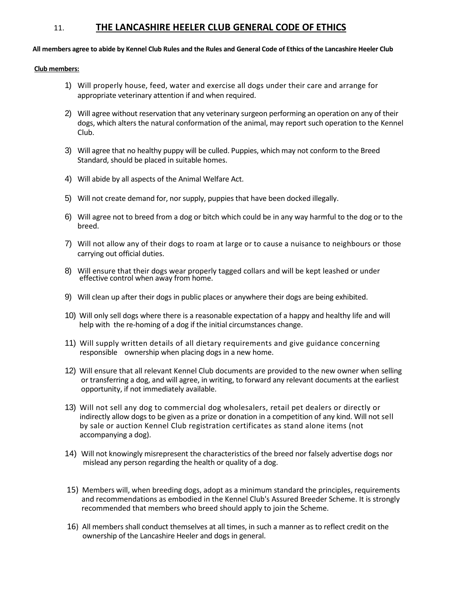## 11. **THE LANCASHIRE HEELER CLUB GENERAL CODE OF ETHICS**

**All members agree to abide by Kennel Club Rules and the Rules and General Code of Ethics of the Lancashire Heeler Club**

#### **Club members:**

- 1) Will properly house, feed, water and exercise all dogs under their care and arrange for appropriate veterinary attention if and when required.
- 2) Will agree without reservation that any veterinary surgeon performing an operation on any of their dogs, which alters the natural conformation of the animal, may report such operation to the Kennel Club.
- 3) Will agree that no healthy puppy will be culled. Puppies, which may not conform to the Breed Standard, should be placed in suitable homes.
- 4) Will abide by all aspects of the Animal Welfare Act.
- 5) Will not create demand for, nor supply, puppies that have been docked illegally.
- 6) Will agree not to breed from a dog or bitch which could be in any way harmful to the dog or to the breed.
- 7) Will not allow any of their dogs to roam at large or to cause a nuisance to neighbours or those carrying out official duties.
- 8) Will ensure that their dogs wear properly tagged collars and will be kept leashed or under effective control when away from home.
- 9) Will clean up after their dogs in public places or anywhere their dogs are being exhibited.
- 10) Will only sell dogs where there is a reasonable expectation of a happy and healthy life and will help with the re-homing of a dog if the initial circumstances change.
- 11) Will supply written details of all dietary requirements and give guidance concerning responsible ownership when placing dogs in a new home.
- 12) Will ensure that all relevant Kennel Club documents are provided to the new owner when selling or transferring a dog, and will agree, in writing, to forward any relevant documents at the earliest opportunity, if not immediately available.
- 13) Will not sell any dog to commercial dog wholesalers, retail pet dealers or directly or indirectly allow dogs to be given as a prize or donation in a competition of any kind. Will not sell by sale or auction Kennel Club registration certificates as stand alone items (not accompanying a dog).
- 14) Will not knowingly misrepresent the characteristics of the breed nor falsely advertise dogs nor mislead any person regarding the health or quality of a dog.
- 15) Members will, when breeding dogs, adopt as a minimum standard the principles, requirements and recommendations as embodied in the Kennel Club's Assured Breeder Scheme. It is strongly recommended that members who breed should apply to join the Scheme.
- 16) All members shall conduct themselves at all times, in such a manner as to reflect credit on the ownership of the Lancashire Heeler and dogs in general.